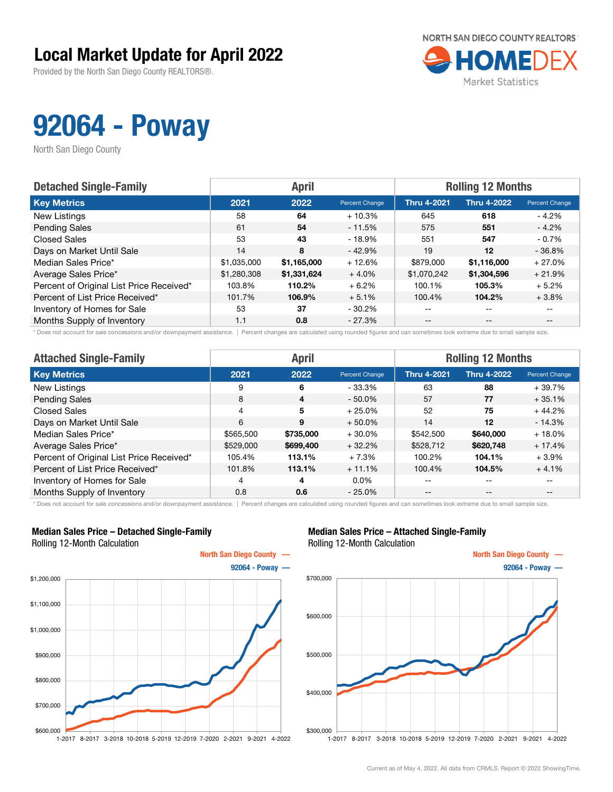### Local Market Update for April 2022

Provided by the North San Diego County REALTORS®.



## 92064 - Poway

North San Diego County

| <b>Detached Single-Family</b>            |             | <b>April</b> |                | <b>Rolling 12 Months</b> |                    |                       |  |
|------------------------------------------|-------------|--------------|----------------|--------------------------|--------------------|-----------------------|--|
| <b>Key Metrics</b>                       | 2021        | 2022         | Percent Change | <b>Thru 4-2021</b>       | <b>Thru 4-2022</b> | <b>Percent Change</b> |  |
| New Listings                             | 58          | 64           | $+10.3%$       | 645                      | 618                | - 4.2%                |  |
| <b>Pending Sales</b>                     | 61          | 54           | $-11.5%$       | 575                      | 551                | $-4.2%$               |  |
| <b>Closed Sales</b>                      | 53          | 43           | - 18.9%        | 551                      | 547                | $-0.7%$               |  |
| Days on Market Until Sale                | 14          | 8            | $-42.9%$       | 19                       | $12 \,$            | $-36.8%$              |  |
| Median Sales Price*                      | \$1,035,000 | \$1,165,000  | $+12.6%$       | \$879,000                | \$1,116,000        | $+27.0%$              |  |
| Average Sales Price*                     | \$1,280,308 | \$1,331,624  | $+4.0\%$       | \$1,070,242              | \$1,304,596        | $+21.9%$              |  |
| Percent of Original List Price Received* | 103.8%      | 110.2%       | $+6.2%$        | 100.1%                   | 105.3%             | $+5.2%$               |  |
| Percent of List Price Received*          | 101.7%      | 106.9%       | $+5.1%$        | 100.4%                   | 104.2%             | $+3.8%$               |  |
| Inventory of Homes for Sale              | 53          | 37           | $-30.2\%$      | $\qquad \qquad -$        | $- -$              | $- -$                 |  |
| Months Supply of Inventory               | 1.1         | 0.8          | $-27.3%$       | $- -$                    | $- -$              |                       |  |

\* Does not account for sale concessions and/or downpayment assistance. | Percent changes are calculated using rounded figures and can sometimes look extreme due to small sample size.

| <b>Attached Single-Family</b>            |           | <b>April</b>            |                | <b>Rolling 12 Months</b> |                    |                |  |
|------------------------------------------|-----------|-------------------------|----------------|--------------------------|--------------------|----------------|--|
| <b>Key Metrics</b>                       | 2021      | 2022                    | Percent Change | <b>Thru 4-2021</b>       | <b>Thru 4-2022</b> | Percent Change |  |
| New Listings                             | 9         | 6                       | $-33.3%$       | 63                       | 88                 | $+39.7%$       |  |
| <b>Pending Sales</b>                     | 8         | $\overline{\mathbf{4}}$ | $-50.0\%$      | 57                       | 77                 | $+35.1%$       |  |
| <b>Closed Sales</b>                      | 4         | 5                       | $+25.0%$       | 52                       | 75                 | $+44.2%$       |  |
| Days on Market Until Sale                | 6         | 9                       | $+50.0\%$      | 14                       | $12 \,$            | $-14.3%$       |  |
| Median Sales Price*                      | \$565,500 | \$735,000               | $+30.0\%$      | \$542,500                | \$640,000          | $+18.0%$       |  |
| Average Sales Price*                     | \$529,000 | \$699,400               | $+32.2%$       | \$528,712                | \$620,748          | $+17.4%$       |  |
| Percent of Original List Price Received* | 105.4%    | 113.1%                  | $+7.3%$        | 100.2%                   | 104.1%             | $+3.9\%$       |  |
| Percent of List Price Received*          | 101.8%    | 113.1%                  | $+11.1%$       | 100.4%                   | 104.5%             | $+4.1%$        |  |
| Inventory of Homes for Sale              | 4         | 4                       | $0.0\%$        | --                       | $- -$              | $- -$          |  |
| Months Supply of Inventory               | 0.8       | 0.6                     | $-25.0%$       | --                       | $- -$              | --             |  |

\* Does not account for sale concessions and/or downpayment assistance. | Percent changes are calculated using rounded figures and can sometimes look extreme due to small sample size.

#### Median Sales Price – Detached Single-Family Rolling 12-Month Calculation



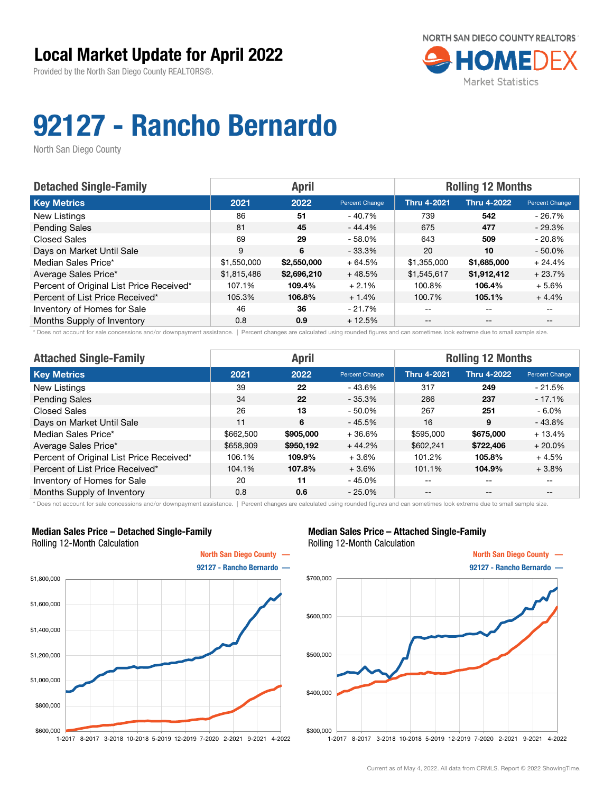

# 92127 - Rancho Bernardo

North San Diego County

| <b>Detached Single-Family</b>            |             | <b>April</b> |                | <b>Rolling 12 Months</b> |                    |                       |  |
|------------------------------------------|-------------|--------------|----------------|--------------------------|--------------------|-----------------------|--|
| <b>Key Metrics</b>                       | 2021        | 2022         | Percent Change | <b>Thru 4-2021</b>       | <b>Thru 4-2022</b> | <b>Percent Change</b> |  |
| New Listings                             | 86          | 51           | - 40.7%        | 739                      | 542                | $-26.7%$              |  |
| <b>Pending Sales</b>                     | 81          | 45           | - 44.4%        | 675                      | 477                | $-29.3%$              |  |
| <b>Closed Sales</b>                      | 69          | 29           | $-58.0\%$      | 643                      | 509                | $-20.8%$              |  |
| Days on Market Until Sale                | 9           | 6            | $-33.3\%$      | 20                       | 10                 | $-50.0%$              |  |
| Median Sales Price*                      | \$1,550,000 | \$2,550,000  | $+64.5%$       | \$1,355,000              | \$1,685,000        | $+24.4%$              |  |
| Average Sales Price*                     | \$1,815,486 | \$2,696,210  | $+48.5%$       | \$1,545,617              | \$1,912,412        | $+23.7%$              |  |
| Percent of Original List Price Received* | 107.1%      | 109.4%       | $+2.1%$        | 100.8%                   | 106.4%             | $+5.6%$               |  |
| Percent of List Price Received*          | 105.3%      | 106.8%       | $+1.4%$        | 100.7%                   | 105.1%             | $+4.4%$               |  |
| Inventory of Homes for Sale              | 46          | 36           | $-21.7%$       | --                       | --                 |                       |  |
| Months Supply of Inventory               | 0.8         | 0.9          | $+12.5%$       | --                       | $-$                | $- -$                 |  |

\* Does not account for sale concessions and/or downpayment assistance. | Percent changes are calculated using rounded figures and can sometimes look extreme due to small sample size.

| <b>Attached Single-Family</b>            |           | <b>April</b> |                | <b>Rolling 12 Months</b> |                    |                |  |
|------------------------------------------|-----------|--------------|----------------|--------------------------|--------------------|----------------|--|
| <b>Key Metrics</b>                       | 2021      | 2022         | Percent Change | <b>Thru 4-2021</b>       | <b>Thru 4-2022</b> | Percent Change |  |
| New Listings                             | 39        | 22           | - 43.6%        | 317                      | 249                | $-21.5%$       |  |
| <b>Pending Sales</b>                     | 34        | 22           | $-35.3%$       | 286                      | 237                | $-17.1%$       |  |
| <b>Closed Sales</b>                      | 26        | 13           | $-50.0%$       | 267                      | 251                | $-6.0\%$       |  |
| Days on Market Until Sale                | 11        | 6            | $-45.5%$       | 16                       | 9                  | $-43.8%$       |  |
| Median Sales Price*                      | \$662,500 | \$905,000    | $+36.6%$       | \$595,000                | \$675,000          | $+13.4%$       |  |
| Average Sales Price*                     | \$658,909 | \$950,192    | $+44.2%$       | \$602,241                | \$722,406          | $+20.0\%$      |  |
| Percent of Original List Price Received* | 106.1%    | 109.9%       | $+3.6%$        | 101.2%                   | 105.8%             | $+4.5%$        |  |
| Percent of List Price Received*          | 104.1%    | 107.8%       | $+3.6%$        | 101.1%                   | 104.9%             | $+3.8%$        |  |
| Inventory of Homes for Sale              | 20        | 11           | $-45.0%$       | --                       | $- -$              | $- -$          |  |
| Months Supply of Inventory               | 0.8       | 0.6          | $-25.0%$       | $- -$                    | $\qquad \qquad -$  | $- -$          |  |

\* Does not account for sale concessions and/or downpayment assistance. | Percent changes are calculated using rounded figures and can sometimes look extreme due to small sample size.

#### Median Sales Price – Detached Single-Family Rolling 12-Month Calculation



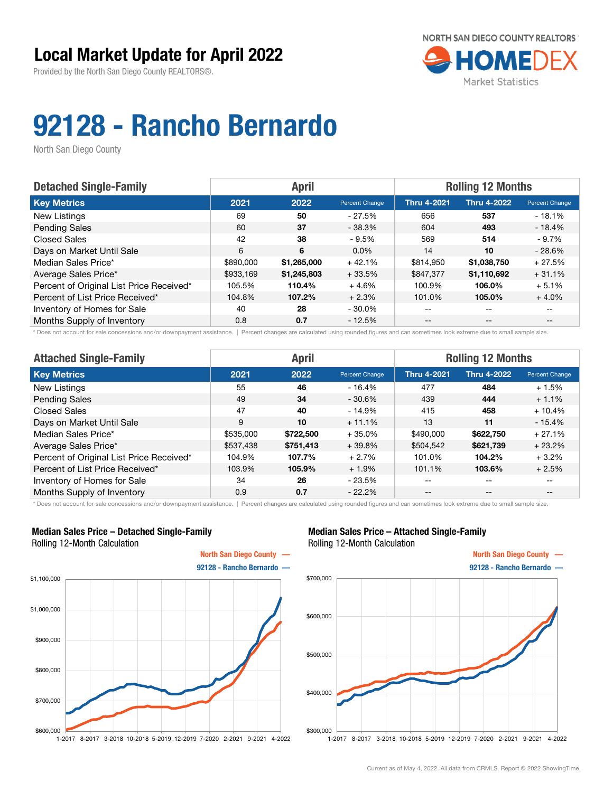

# 92128 - Rancho Bernardo

North San Diego County

| <b>Detached Single-Family</b>            |           | <b>April</b> |                | <b>Rolling 12 Months</b> |                    |                |  |
|------------------------------------------|-----------|--------------|----------------|--------------------------|--------------------|----------------|--|
| <b>Key Metrics</b>                       | 2021      | 2022         | Percent Change | <b>Thru 4-2021</b>       | <b>Thru 4-2022</b> | Percent Change |  |
| New Listings                             | 69        | 50           | - 27.5%        | 656                      | 537                | $-18.1\%$      |  |
| <b>Pending Sales</b>                     | 60        | 37           | $-38.3%$       | 604                      | 493                | $-18.4%$       |  |
| <b>Closed Sales</b>                      | 42        | 38           | $-9.5%$        | 569                      | 514                | - 9.7%         |  |
| Days on Market Until Sale                | 6         | 6            | $0.0\%$        | 14                       | 10                 | $-28.6%$       |  |
| Median Sales Price*                      | \$890,000 | \$1,265,000  | $+42.1%$       | \$814.950                | \$1,038,750        | $+27.5%$       |  |
| Average Sales Price*                     | \$933,169 | \$1,245,803  | $+33.5%$       | \$847.377                | \$1,110,692        | $+31.1%$       |  |
| Percent of Original List Price Received* | 105.5%    | 110.4%       | $+4.6%$        | 100.9%                   | 106.0%             | $+5.1%$        |  |
| Percent of List Price Received*          | 104.8%    | 107.2%       | $+2.3%$        | 101.0%                   | 105.0%             | $+4.0%$        |  |
| Inventory of Homes for Sale              | 40        | 28           | $-30.0\%$      | --                       | --                 |                |  |
| Months Supply of Inventory               | 0.8       | 0.7          | $-12.5%$       | --                       | $-$                | $- -$          |  |

\* Does not account for sale concessions and/or downpayment assistance. | Percent changes are calculated using rounded figures and can sometimes look extreme due to small sample size.

| <b>Attached Single-Family</b>            |           | <b>April</b> |                | <b>Rolling 12 Months</b> |                    |                |  |
|------------------------------------------|-----------|--------------|----------------|--------------------------|--------------------|----------------|--|
| <b>Key Metrics</b>                       | 2021      | 2022         | Percent Change | <b>Thru 4-2021</b>       | <b>Thru 4-2022</b> | Percent Change |  |
| New Listings                             | 55        | 46           | $-16.4%$       | 477                      | 484                | $+1.5%$        |  |
| <b>Pending Sales</b>                     | 49        | 34           | $-30.6%$       | 439                      | 444                | $+1.1%$        |  |
| <b>Closed Sales</b>                      | 47        | 40           | $-14.9%$       | 415                      | 458                | $+10.4%$       |  |
| Days on Market Until Sale                | 9         | 10           | $+11.1%$       | 13                       | 11                 | $-15.4%$       |  |
| Median Sales Price*                      | \$535,000 | \$722,500    | $+35.0%$       | \$490,000                | \$622,750          | $+27.1%$       |  |
| Average Sales Price*                     | \$537,438 | \$751,413    | $+39.8%$       | \$504,542                | \$621,739          | $+23.2%$       |  |
| Percent of Original List Price Received* | 104.9%    | 107.7%       | $+2.7%$        | 101.0%                   | 104.2%             | $+3.2%$        |  |
| Percent of List Price Received*          | 103.9%    | 105.9%       | $+1.9%$        | 101.1%                   | 103.6%             | $+2.5%$        |  |
| Inventory of Homes for Sale              | 34        | 26           | $-23.5%$       | --                       | $- -$              | $- -$          |  |
| Months Supply of Inventory               | 0.9       | 0.7          | $-22.2%$       | $- -$                    | $\qquad \qquad -$  | $- -$          |  |

\* Does not account for sale concessions and/or downpayment assistance. | Percent changes are calculated using rounded figures and can sometimes look extreme due to small sample size.

### Median Sales Price – Detached Single-Family Rolling 12-Month Calculation



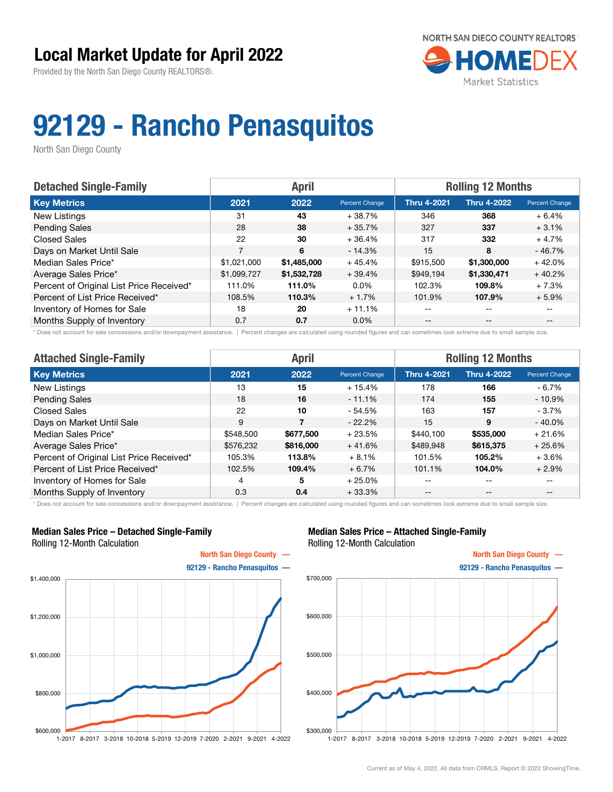

## 92129 - Rancho Penasquitos

North San Diego County

| <b>Detached Single-Family</b>            |             | <b>April</b> |                       | <b>Rolling 12 Months</b> |                    |                       |  |
|------------------------------------------|-------------|--------------|-----------------------|--------------------------|--------------------|-----------------------|--|
| <b>Key Metrics</b>                       | 2021        | 2022         | <b>Percent Change</b> | <b>Thru 4-2021</b>       | <b>Thru 4-2022</b> | <b>Percent Change</b> |  |
| New Listings                             | 31          | 43           | +38.7%                | 346                      | 368                | $+6.4%$               |  |
| <b>Pending Sales</b>                     | 28          | 38           | $+35.7%$              | 327                      | 337                | $+3.1%$               |  |
| <b>Closed Sales</b>                      | 22          | 30           | $+36.4%$              | 317                      | 332                | $+4.7%$               |  |
| Days on Market Until Sale                | 7           | 6            | $-14.3%$              | 15                       | 8                  | $-46.7%$              |  |
| Median Sales Price*                      | \$1,021,000 | \$1,485,000  | $+45.4%$              | \$915,500                | \$1,300,000        | $+42.0%$              |  |
| Average Sales Price*                     | \$1,099,727 | \$1,532,728  | $+39.4%$              | \$949.194                | \$1,330,471        | $+40.2%$              |  |
| Percent of Original List Price Received* | 111.0%      | 111.0%       | $0.0\%$               | 102.3%                   | 109.8%             | $+7.3%$               |  |
| Percent of List Price Received*          | 108.5%      | 110.3%       | $+1.7%$               | 101.9%                   | 107.9%             | $+5.9%$               |  |
| Inventory of Homes for Sale              | 18          | 20           | $+11.1%$              | --                       | --                 |                       |  |
| Months Supply of Inventory               | 0.7         | 0.7          | $0.0\%$               | $- -$                    | $-$                | $- -$                 |  |

\* Does not account for sale concessions and/or downpayment assistance. | Percent changes are calculated using rounded figures and can sometimes look extreme due to small sample size.

| <b>Attached Single-Family</b>            |                | <b>April</b> |                | <b>Rolling 12 Months</b> |                    |                |  |
|------------------------------------------|----------------|--------------|----------------|--------------------------|--------------------|----------------|--|
| <b>Key Metrics</b>                       | 2021           | 2022         | Percent Change | <b>Thru 4-2021</b>       | <b>Thru 4-2022</b> | Percent Change |  |
| New Listings                             | 13             | 15           | $+15.4%$       | 178                      | 166                | - 6.7%         |  |
| <b>Pending Sales</b>                     | 18             | 16           | $-11.1%$       | 174                      | 155                | - 10.9%        |  |
| <b>Closed Sales</b>                      | 22             | 10           | $-54.5%$       | 163                      | 157                | - 3.7%         |  |
| Days on Market Until Sale                | 9              | 7            | $-22.2%$       | 15                       | 9                  | $-40.0%$       |  |
| Median Sales Price*                      | \$548,500      | \$677,500    | $+23.5%$       | \$440.100                | \$535,000          | $+21.6%$       |  |
| Average Sales Price*                     | \$576,232      | \$816,000    | $+41.6%$       | \$489,948                | \$615,375          | $+25.6%$       |  |
| Percent of Original List Price Received* | 105.3%         | 113.8%       | $+8.1%$        | 101.5%                   | 105.2%             | $+3.6%$        |  |
| Percent of List Price Received*          | 102.5%         | 109.4%       | $+6.7%$        | 101.1%                   | 104.0%             | $+2.9%$        |  |
| Inventory of Homes for Sale              | $\overline{4}$ | 5            | $+25.0%$       | --                       | --                 | $- -$          |  |
| Months Supply of Inventory               | 0.3            | 0.4          | $+33.3%$       | --                       | $- -$              | $- -$          |  |

\* Does not account for sale concessions and/or downpayment assistance. | Percent changes are calculated using rounded figures and can sometimes look extreme due to small sample size.

### Median Sales Price – Detached Single-Family Rolling 12-Month Calculation



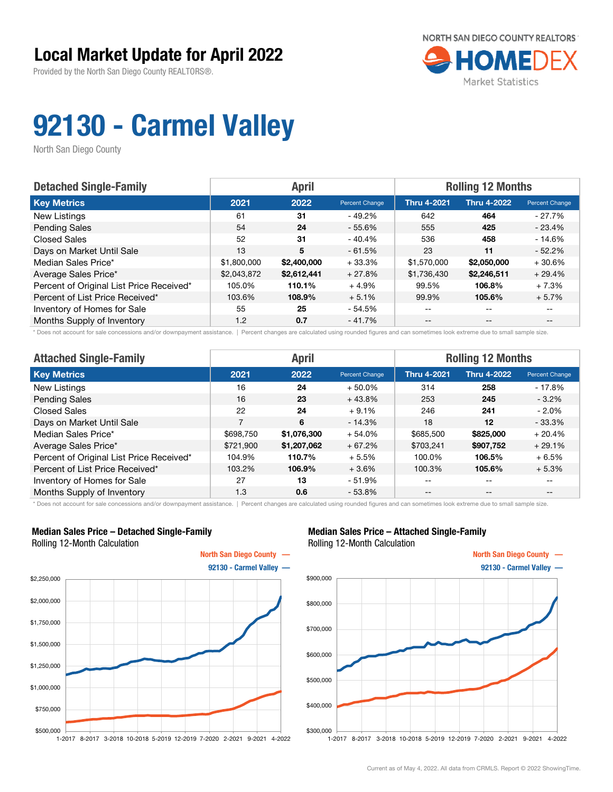

# 92130 - Carmel Valley

North San Diego County

| <b>Detached Single-Family</b>            |             | <b>April</b> |                | <b>Rolling 12 Months</b> |                    |                       |  |
|------------------------------------------|-------------|--------------|----------------|--------------------------|--------------------|-----------------------|--|
| <b>Key Metrics</b>                       | 2021        | 2022         | Percent Change | <b>Thru 4-2021</b>       | <b>Thru 4-2022</b> | <b>Percent Change</b> |  |
| New Listings                             | 61          | 31           | - 49.2%        | 642                      | 464                | - 27.7%               |  |
| <b>Pending Sales</b>                     | 54          | 24           | $-55.6\%$      | 555                      | 425                | $-23.4%$              |  |
| <b>Closed Sales</b>                      | 52          | 31           | $-40.4\%$      | 536                      | 458                | $-14.6%$              |  |
| Days on Market Until Sale                | 13          | 5            | $-61.5%$       | 23                       | 11                 | $-52.2%$              |  |
| Median Sales Price*                      | \$1,800,000 | \$2,400,000  | $+33.3%$       | \$1,570,000              | \$2,050,000        | $+30.6%$              |  |
| Average Sales Price*                     | \$2,043,872 | \$2,612,441  | $+27.8%$       | \$1,736,430              | \$2,246,511        | $+29.4%$              |  |
| Percent of Original List Price Received* | 105.0%      | 110.1%       | $+4.9%$        | 99.5%                    | 106.8%             | $+7.3%$               |  |
| Percent of List Price Received*          | 103.6%      | 108.9%       | $+5.1%$        | 99.9%                    | 105.6%             | $+5.7%$               |  |
| Inventory of Homes for Sale              | 55          | 25           | - 54.5%        | --                       | --                 |                       |  |
| Months Supply of Inventory               | 1.2         | 0.7          | $-41.7%$       | --                       | $-$                | $- -$                 |  |

\* Does not account for sale concessions and/or downpayment assistance. | Percent changes are calculated using rounded figures and can sometimes look extreme due to small sample size.

| <b>Attached Single-Family</b>            |                | <b>April</b> |                | <b>Rolling 12 Months</b> |                    |                |  |
|------------------------------------------|----------------|--------------|----------------|--------------------------|--------------------|----------------|--|
| <b>Key Metrics</b>                       | 2021           | 2022         | Percent Change | <b>Thru 4-2021</b>       | <b>Thru 4-2022</b> | Percent Change |  |
| New Listings                             | 16             | 24           | $+50.0\%$      | 314                      | 258                | $-17.8%$       |  |
| <b>Pending Sales</b>                     | 16             | 23           | $+43.8%$       | 253                      | 245                | $-3.2\%$       |  |
| <b>Closed Sales</b>                      | 22             | 24           | $+9.1%$        | 246                      | 241                | $-2.0\%$       |  |
| Days on Market Until Sale                | $\overline{7}$ | 6            | $-14.3%$       | 18                       | 12                 | $-33.3%$       |  |
| Median Sales Price*                      | \$698,750      | \$1,076,300  | $+54.0%$       | \$685,500                | \$825,000          | $+20.4%$       |  |
| Average Sales Price*                     | \$721,900      | \$1,207,062  | $+67.2%$       | \$703,241                | \$907,752          | $+29.1%$       |  |
| Percent of Original List Price Received* | 104.9%         | 110.7%       | $+5.5%$        | 100.0%                   | 106.5%             | $+6.5%$        |  |
| Percent of List Price Received*          | 103.2%         | 106.9%       | $+3.6%$        | 100.3%                   | 105.6%             | $+5.3%$        |  |
| Inventory of Homes for Sale              | 27             | 13           | $-51.9%$       | --                       | $\qquad \qquad -$  | $- -$          |  |
| Months Supply of Inventory               | 1.3            | 0.6          | $-53.8%$       | $- -$                    | $\qquad \qquad -$  | --             |  |

\* Does not account for sale concessions and/or downpayment assistance. | Percent changes are calculated using rounded figures and can sometimes look extreme due to small sample size.

### Median Sales Price – Detached Single-Family Rolling 12-Month Calculation